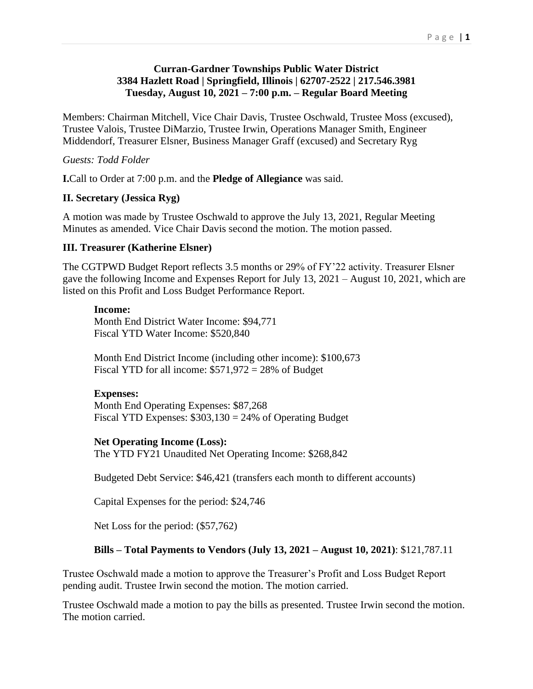### **Curran-Gardner Townships Public Water District 3384 Hazlett Road | Springfield, Illinois | 62707-2522 | 217.546.3981 Tuesday, August 10, 2021 – 7:00 p.m. – Regular Board Meeting**

Members: Chairman Mitchell, Vice Chair Davis, Trustee Oschwald, Trustee Moss (excused), Trustee Valois, Trustee DiMarzio, Trustee Irwin, Operations Manager Smith, Engineer Middendorf, Treasurer Elsner, Business Manager Graff (excused) and Secretary Ryg

### *Guests: Todd Folder*

**I.**Call to Order at 7:00 p.m. and the **Pledge of Allegiance** was said.

### **II. Secretary (Jessica Ryg)**

A motion was made by Trustee Oschwald to approve the July 13, 2021, Regular Meeting Minutes as amended. Vice Chair Davis second the motion. The motion passed.

### **III. Treasurer (Katherine Elsner)**

The CGTPWD Budget Report reflects 3.5 months or 29% of FY'22 activity. Treasurer Elsner gave the following Income and Expenses Report for July 13, 2021 – August 10, 2021, which are listed on this Profit and Loss Budget Performance Report.

### **Income:**

Month End District Water Income: \$94,771 Fiscal YTD Water Income: \$520,840

Month End District Income (including other income): \$100,673 Fiscal YTD for all income:  $$571,972 = 28\%$  of Budget

### **Expenses:**

Month End Operating Expenses: \$87,268 Fiscal YTD Expenses:  $$303,130 = 24\%$  of Operating Budget

### **Net Operating Income (Loss):**

The YTD FY21 Unaudited Net Operating Income: \$268,842

Budgeted Debt Service: \$46,421 (transfers each month to different accounts)

Capital Expenses for the period: \$24,746

Net Loss for the period: (\$57,762)

### **Bills – Total Payments to Vendors (July 13, 2021 – August 10, 2021)**: \$121,787.11

Trustee Oschwald made a motion to approve the Treasurer's Profit and Loss Budget Report pending audit. Trustee Irwin second the motion. The motion carried.

Trustee Oschwald made a motion to pay the bills as presented. Trustee Irwin second the motion. The motion carried.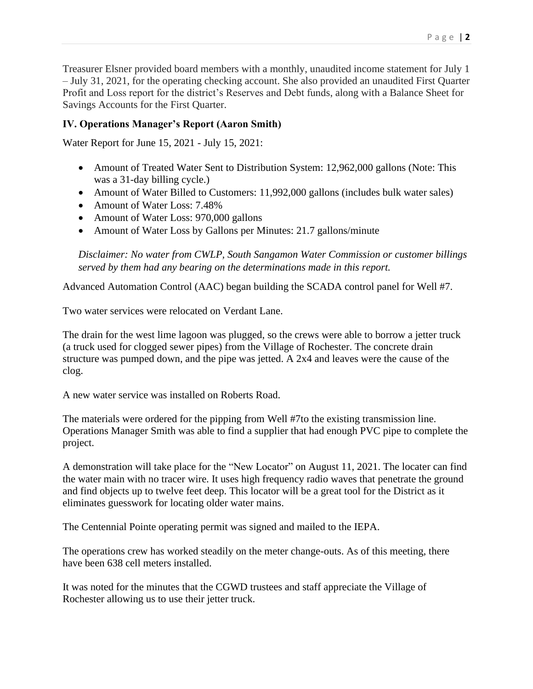Treasurer Elsner provided board members with a monthly, unaudited income statement for July 1 – July 31, 2021, for the operating checking account. She also provided an unaudited First Quarter Profit and Loss report for the district's Reserves and Debt funds, along with a Balance Sheet for Savings Accounts for the First Quarter.

# **IV. Operations Manager's Report (Aaron Smith)**

Water Report for June 15, 2021 - July 15, 2021:

- Amount of Treated Water Sent to Distribution System: 12,962,000 gallons (Note: This was a 31-day billing cycle.)
- Amount of Water Billed to Customers: 11,992,000 gallons (includes bulk water sales)
- Amount of Water Loss: 7.48%
- Amount of Water Loss: 970,000 gallons
- Amount of Water Loss by Gallons per Minutes: 21.7 gallons/minute

*Disclaimer: No water from CWLP, South Sangamon Water Commission or customer billings served by them had any bearing on the determinations made in this report.*

Advanced Automation Control (AAC) began building the SCADA control panel for Well #7.

Two water services were relocated on Verdant Lane.

The drain for the west lime lagoon was plugged, so the crews were able to borrow a jetter truck (a truck used for clogged sewer pipes) from the Village of Rochester. The concrete drain structure was pumped down, and the pipe was jetted. A 2x4 and leaves were the cause of the clog.

A new water service was installed on Roberts Road.

The materials were ordered for the pipping from Well #7to the existing transmission line. Operations Manager Smith was able to find a supplier that had enough PVC pipe to complete the project.

A demonstration will take place for the "New Locator" on August 11, 2021. The locater can find the water main with no tracer wire. It uses high frequency radio waves that penetrate the ground and find objects up to twelve feet deep. This locator will be a great tool for the District as it eliminates guesswork for locating older water mains.

The Centennial Pointe operating permit was signed and mailed to the IEPA.

The operations crew has worked steadily on the meter change-outs. As of this meeting, there have been 638 cell meters installed.

It was noted for the minutes that the CGWD trustees and staff appreciate the Village of Rochester allowing us to use their jetter truck.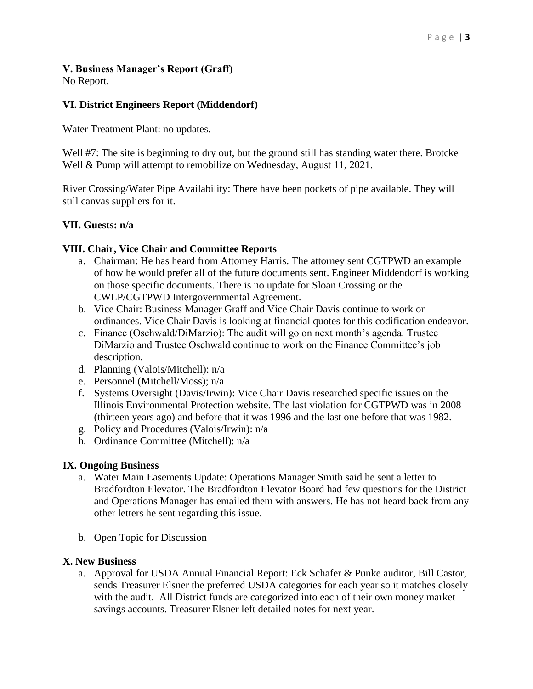# **V. Business Manager's Report (Graff)**

No Report.

## **VI. District Engineers Report (Middendorf)**

Water Treatment Plant: no updates.

Well #7: The site is beginning to dry out, but the ground still has standing water there. Brotcke Well & Pump will attempt to remobilize on Wednesday, August 11, 2021.

River Crossing/Water Pipe Availability: There have been pockets of pipe available. They will still canvas suppliers for it.

### **VII. Guests: n/a**

### **VIII. Chair, Vice Chair and Committee Reports**

- a. Chairman: He has heard from Attorney Harris. The attorney sent CGTPWD an example of how he would prefer all of the future documents sent. Engineer Middendorf is working on those specific documents. There is no update for Sloan Crossing or the CWLP/CGTPWD Intergovernmental Agreement.
- b. Vice Chair: Business Manager Graff and Vice Chair Davis continue to work on ordinances. Vice Chair Davis is looking at financial quotes for this codification endeavor.
- c. Finance (Oschwald/DiMarzio): The audit will go on next month's agenda. Trustee DiMarzio and Trustee Oschwald continue to work on the Finance Committee's job description.
- d. Planning (Valois/Mitchell): n/a
- e. Personnel (Mitchell/Moss); n/a
- f. Systems Oversight (Davis/Irwin): Vice Chair Davis researched specific issues on the Illinois Environmental Protection website. The last violation for CGTPWD was in 2008 (thirteen years ago) and before that it was 1996 and the last one before that was 1982.
- g. Policy and Procedures (Valois/Irwin): n/a
- h. Ordinance Committee (Mitchell): n/a

### **IX. Ongoing Business**

- a. Water Main Easements Update: Operations Manager Smith said he sent a letter to Bradfordton Elevator. The Bradfordton Elevator Board had few questions for the District and Operations Manager has emailed them with answers. He has not heard back from any other letters he sent regarding this issue.
- b. Open Topic for Discussion

### **X. New Business**

a. Approval for USDA Annual Financial Report: Eck Schafer & Punke auditor, Bill Castor, sends Treasurer Elsner the preferred USDA categories for each year so it matches closely with the audit. All District funds are categorized into each of their own money market savings accounts. Treasurer Elsner left detailed notes for next year.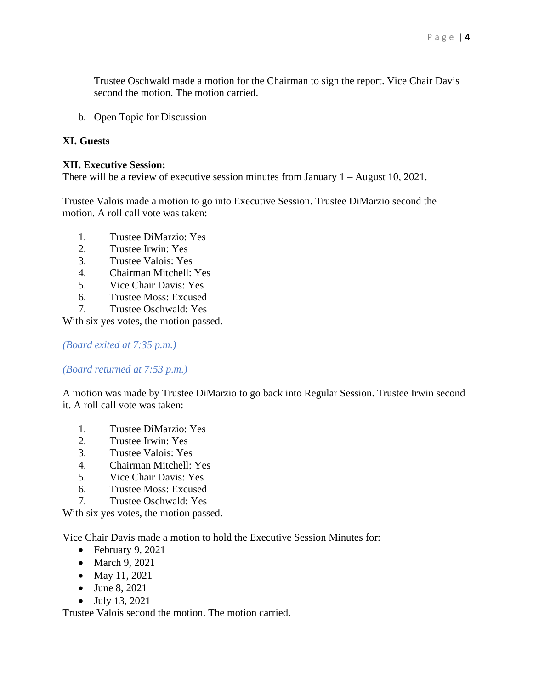Trustee Oschwald made a motion for the Chairman to sign the report. Vice Chair Davis second the motion. The motion carried.

b. Open Topic for Discussion

### **XI. Guests**

### **XII. Executive Session:**

There will be a review of executive session minutes from January 1 – August 10, 2021.

Trustee Valois made a motion to go into Executive Session. Trustee DiMarzio second the motion. A roll call vote was taken:

- 1. Trustee DiMarzio: Yes
- 2. Trustee Irwin: Yes
- 3. Trustee Valois: Yes
- 4. Chairman Mitchell: Yes
- 5. Vice Chair Davis: Yes
- 6. Trustee Moss: Excused
- 7. Trustee Oschwald: Yes

With six yes votes, the motion passed.

*(Board exited at 7:35 p.m.)*

*(Board returned at 7:53 p.m.)*

A motion was made by Trustee DiMarzio to go back into Regular Session. Trustee Irwin second it. A roll call vote was taken:

- 1. Trustee DiMarzio: Yes
- 2. Trustee Irwin: Yes
- 3. Trustee Valois: Yes
- 4. Chairman Mitchell: Yes
- 5. Vice Chair Davis: Yes
- 6. Trustee Moss: Excused
- 7. Trustee Oschwald: Yes

With six yes votes, the motion passed.

Vice Chair Davis made a motion to hold the Executive Session Minutes for:

- February 9, 2021
- March 9, 2021
- May 11, 2021
- June 8, 2021
- July 13, 2021

Trustee Valois second the motion. The motion carried.